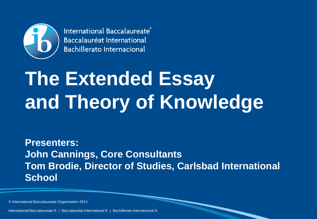

International Baccalaureate® **Baccalauréat International Bachillerato Internacional** 

# **The Extended Essay and Theory of Knowledge**

**Presenters: John Cannings, Core Consultants Tom Brodie, Director of Studies, Carlsbad International School**

© International Baccalaureate Organization 2014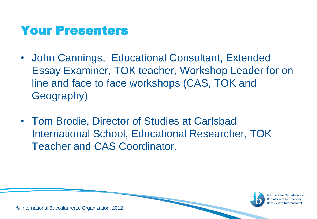# Your Presenters

- John Cannings, Educational Consultant, Extended Essay Examiner, TOK teacher, Workshop Leader for on line and face to face workshops (CAS, TOK and Geography)
- Tom Brodie, Director of Studies at Carlsbad International School, Educational Researcher, TOK Teacher and CAS Coordinator.



**International Baccalaureate** Baccalauréat Internati achillerato Internacional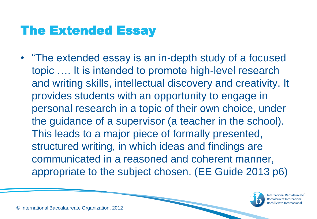# The Extended Essay

• "The extended essay is an in-depth study of a focused topic …. It is intended to promote high-level research and writing skills, intellectual discovery and creativity. It provides students with an opportunity to engage in personal research in a topic of their own choice, under the guidance of a supervisor (a teacher in the school). This leads to a major piece of formally presented, structured writing, in which ideas and findings are communicated in a reasoned and coherent manner, appropriate to the subject chosen. (EE Guide 2013 p6)

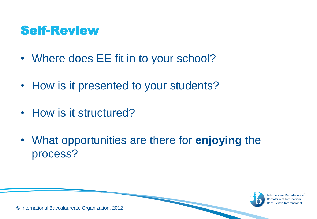# Self-Review

- Where does EE fit in to your school?
- How is it presented to your students?
- How is it structured?
- What opportunities are there for **enjoying** the process?



**International Baccalaureate Baccalauréat Interr** Bachillerato Internacional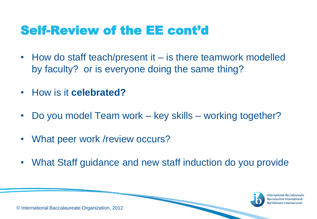# Self-Review of the EE cont'd

- How do staff teach/present it is there teamwork modelled by faculty? or is everyone doing the same thing?
- How is it **celebrated?**
- Do you model Team work key skills working together?
- What peer work /review occurs?
- What Staff guidance and new staff induction do you provide



**International Baccalaureate** achillerato Internacional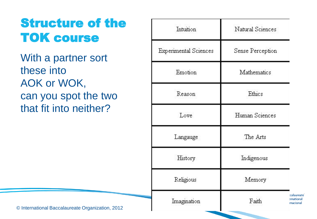# Structure of the TOK course

With a partner sort these into AOK or WOK, can you spot the two that fit into neither?

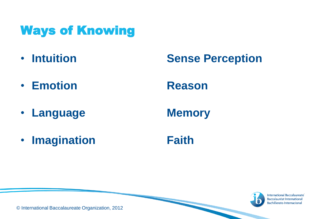# Ways of Knowing

- 
- **Emotion Reason**
- **Language Memory**

### • **Intuition Sense Perception**

• **Imagination Faith** 



International Baccalaureate Baccalauréat International **Bachillerato Internacional** 

© International Baccalaureate Organization, 2012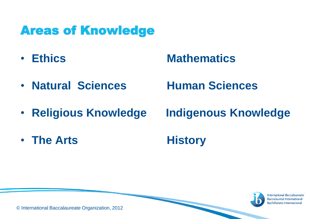# Areas of Knowledge

### • **Ethics Mathematics**

- **Natural Sciences Human Sciences**
- **Religious Knowledge Indigenous Knowledge**

• The Arts **History** 



**International Baccalaureate Baccalauréat Internat Bachillerato Internacional** 

© International Baccalaureate Organization, 2012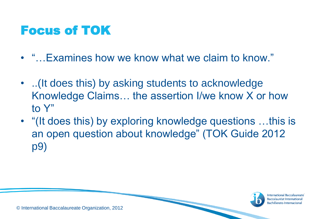# Focus of TOK

- "…Examines how we know what we claim to know."
- ..(It does this) by asking students to acknowledge Knowledge Claims… the assertion I/we know X or how to Y"
- "(It does this) by exploring knowledge questions …this is an open question about knowledge" (TOK Guide 2012 p9)



**International Baccalaureate** Baccalauréat Interna achillerato Internacional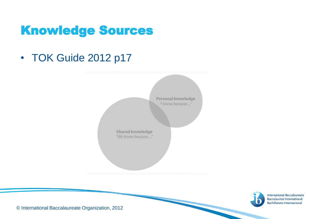# Knowledge Sources

• TOK Guide 2012 p17





International Baccalaureate® **Baccalauréat International Bachillerato Internacional** 

© International Baccalaureate Organization, 2012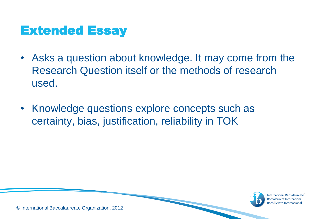# Extended Essay

- Asks a question about knowledge. It may come from the Research Question itself or the methods of research used.
- Knowledge questions explore concepts such as certainty, bias, justification, reliability in TOK



**International Baccalaureate** Baccalauréat Internationa Bachillerato Internacional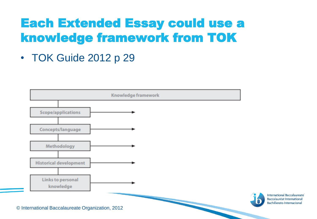# Each Extended Essay could use a knowledge framework from TOK

• TOK Guide 2012 p 29

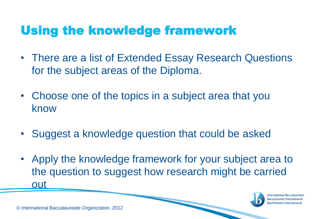# Using the knowledge framework

- There are a list of Extended Essay Research Questions for the subject areas of the Diploma.
- Choose one of the topics in a subject area that you know
- Suggest a knowledge question that could be asked
- Apply the knowledge framework for your subject area to the question to suggest how research might be carried out



**International Baccalaureate** Baccalauréat Interi achillerato Internacional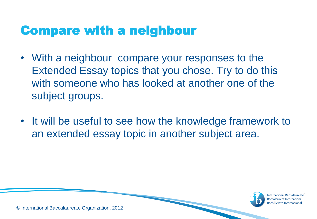# Compare with a neighbour

- With a neighbour compare your responses to the Extended Essay topics that you chose. Try to do this with someone who has looked at another one of the subject groups.
- It will be useful to see how the knowledge framework to an extended essay topic in another subject area.



**International Baccalaureate Baccalauréat Internat** achillerato Internacional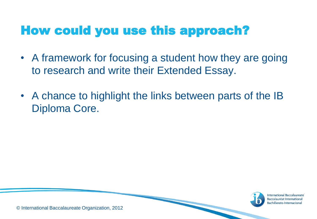# How could you use this approach?

- A framework for focusing a student how they are going to research and write their Extended Essay.
- A chance to highlight the links between parts of the IB Diploma Core.



**International Baccalaureate Baccalauréat Internat** Bachillerato Internacional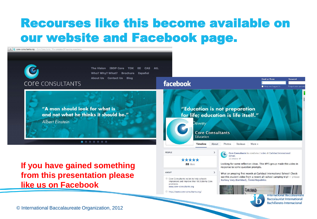# Recourses like this become available on our website and Facebook page.